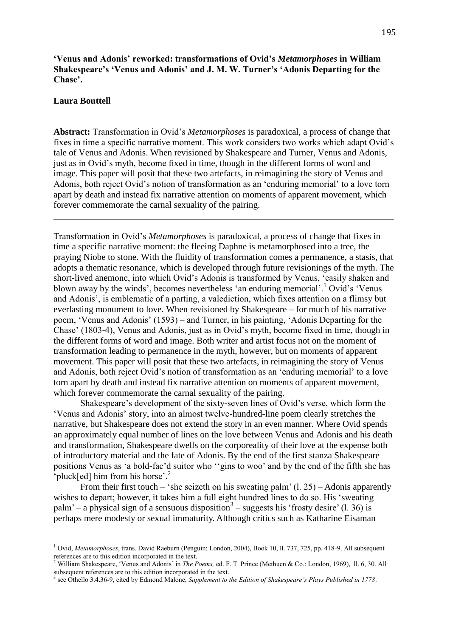**'Venus and Adonis' reworked: transformations of Ovid's** *Metamorphoses* **in William Shakespeare's 'Venus and Adonis' and J. M. W. Turner's 'Adonis Departing for the Chase'.** 

## **Laura Bouttell**

 $\overline{a}$ 

**Abstract:** Transformation in Ovid's *Metamorphoses* is paradoxical, a process of change that fixes in time a specific narrative moment. This work considers two works which adapt Ovid's tale of Venus and Adonis. When revisioned by Shakespeare and Turner, Venus and Adonis, just as in Ovid's myth, become fixed in time, though in the different forms of word and image. This paper will posit that these two artefacts, in reimagining the story of Venus and Adonis, both reject Ovid's notion of transformation as an 'enduring memorial' to a love torn apart by death and instead fix narrative attention on moments of apparent movement, which forever commemorate the carnal sexuality of the pairing.

\_\_\_\_\_\_\_\_\_\_\_\_\_\_\_\_\_\_\_\_\_\_\_\_\_\_\_\_\_\_\_\_\_\_\_\_\_\_\_\_\_\_\_\_\_\_\_\_\_\_\_\_\_\_\_\_\_\_\_\_\_\_\_\_\_\_\_\_\_\_\_\_\_\_\_

Transformation in Ovid's *Metamorphoses* is paradoxical, a process of change that fixes in time a specific narrative moment: the fleeing Daphne is metamorphosed into a tree, the praying Niobe to stone. With the fluidity of transformation comes a permanence, a stasis, that adopts a thematic resonance, which is developed through future revisionings of the myth. The short-lived anemone, into which Ovid's Adonis is transformed by Venus, 'easily shaken and blown away by the winds', becomes nevertheless 'an enduring memorial'.<sup>1</sup> Ovid's 'Venus and Adonis', is emblematic of a parting, a valediction, which fixes attention on a flimsy but everlasting monument to love. When revisioned by Shakespeare – for much of his narrative poem, 'Venus and Adonis' (1593) – and Turner, in his painting, 'Adonis Departing for the Chase' (1803-4), Venus and Adonis, just as in Ovid's myth, become fixed in time, though in the different forms of word and image. Both writer and artist focus not on the moment of transformation leading to permanence in the myth, however, but on moments of apparent movement. This paper will posit that these two artefacts, in reimagining the story of Venus and Adonis, both reject Ovid's notion of transformation as an 'enduring memorial' to a love torn apart by death and instead fix narrative attention on moments of apparent movement, which forever commemorate the carnal sexuality of the pairing.

Shakespeare's development of the sixty-seven lines of Ovid's verse, which form the 'Venus and Adonis' story, into an almost twelve-hundred-line poem clearly stretches the narrative, but Shakespeare does not extend the story in an even manner. Where Ovid spends an approximately equal number of lines on the love between Venus and Adonis and his death and transformation, Shakespeare dwells on the corporeality of their love at the expense both of introductory material and the fate of Adonis. By the end of the first stanza Shakespeare positions Venus as 'a bold-fac'd suitor who ''gins to woo' and by the end of the fifth she has 'pluck[ed] him from his horse'. $2$ 

From their first touch – 'she seizeth on his sweating palm'  $(1, 25)$  – Adonis apparently wishes to depart; however, it takes him a full eight hundred lines to do so. His 'sweating palm' – a physical sign of a sensuous disposition<sup>3</sup> – suggests his 'frosty desire' (1. 36) is perhaps mere modesty or sexual immaturity. Although critics such as Katharine Eisaman

<sup>1</sup> Ovid, *Metamorphoses*, trans. David Raeburn (Penguin: London, 2004), Book 10, ll. 737, 725, pp. 418-9. All subsequent references are to this edition incorporated in the text.

<sup>2</sup> William Shakespeare, 'Venus and Adonis' in *The Poems,* ed. F. T. Prince (Methuen & Co.: London, 1969), ll. 6, 30. All subsequent references are to this edition incorporated in the text.

<sup>3</sup> see Othello 3.4.36-9, cited by Edmond Malone, *Supplement to the Edition of Shakespeare's Plays Published in 1778*.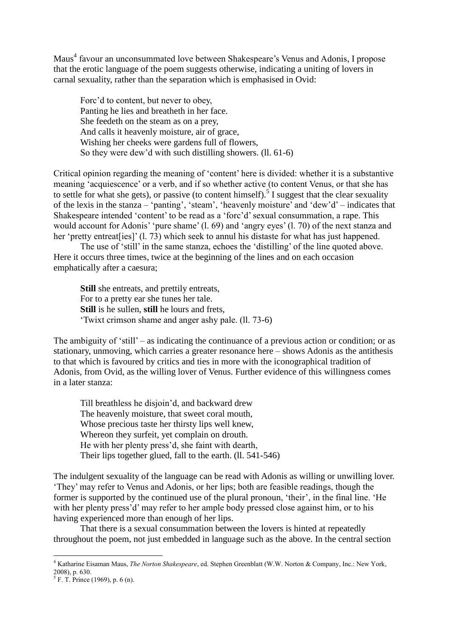Maus<sup>4</sup> favour an unconsummated love between Shakespeare's Venus and Adonis, I propose that the erotic language of the poem suggests otherwise, indicating a uniting of lovers in carnal sexuality, rather than the separation which is emphasised in Ovid:

Forc'd to content, but never to obey, Panting he lies and breatheth in her face. She feedeth on the steam as on a prey, And calls it heavenly moisture, air of grace, Wishing her cheeks were gardens full of flowers, So they were dew'd with such distilling showers. (ll. 61-6)

Critical opinion regarding the meaning of 'content' here is divided: whether it is a substantive meaning 'acquiescence' or a verb, and if so whether active (to content Venus, or that she has to settle for what she gets), or passive (to content himself).<sup>5</sup> I suggest that the clear sexuality of the lexis in the stanza – 'panting', 'steam', 'heavenly moisture' and 'dew'd' – indicates that Shakespeare intended 'content' to be read as a 'forc'd' sexual consummation, a rape. This would account for Adonis' 'pure shame' (l. 69) and 'angry eyes' (l. 70) of the next stanza and her 'pretty entreat [ies]' (1, 73) which seek to annul his distaste for what has just happened.

The use of 'still' in the same stanza, echoes the 'distilling' of the line quoted above. Here it occurs three times, twice at the beginning of the lines and on each occasion emphatically after a caesura;

**Still** she entreats, and prettily entreats, For to a pretty ear she tunes her tale. **Still** is he sullen, **still** he lours and frets, 'Twixt crimson shame and anger ashy pale. (ll. 73-6)

The ambiguity of 'still' – as indicating the continuance of a previous action or condition; or as stationary, unmoving, which carries a greater resonance here *–* shows Adonis as the antithesis to that which is favoured by critics and ties in more with the iconographical tradition of Adonis, from Ovid, as the willing lover of Venus. Further evidence of this willingness comes in a later stanza:

Till breathless he disjoin'd, and backward drew The heavenly moisture, that sweet coral mouth, Whose precious taste her thirsty lips well knew, Whereon they surfeit, yet complain on drouth. He with her plenty press'd, she faint with dearth, Their lips together glued, fall to the earth. (ll. 541-546)

The indulgent sexuality of the language can be read with Adonis as willing or unwilling lover. 'They' may refer to Venus and Adonis, or her lips; both are feasible readings, though the former is supported by the continued use of the plural pronoun, 'their', in the final line. 'He with her plenty press'd' may refer to her ample body pressed close against him, or to his having experienced more than enough of her lips.

That there is a sexual consummation between the lovers is hinted at repeatedly throughout the poem, not just embedded in language such as the above. In the central section

<sup>4</sup> Katharine Eisaman Maus, *The Norton Shakespeare*, ed. Stephen Greenblatt (W.W. Norton & Company, Inc.: New York, 2008), p. 630.

 $<sup>5</sup>$  F. T. Prince (1969), p. 6 (n).</sup>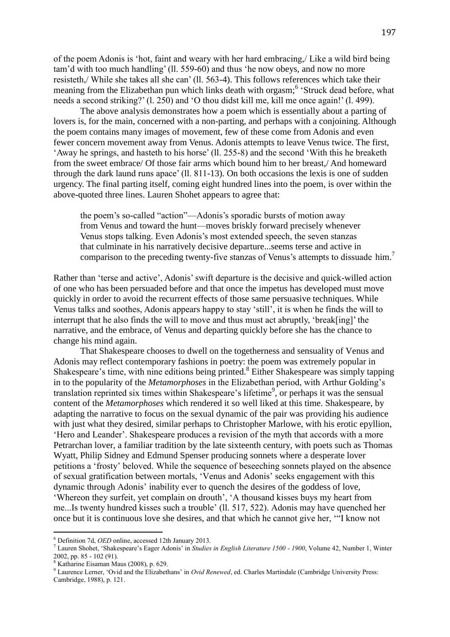of the poem Adonis is 'hot, faint and weary with her hard embracing,/ Like a wild bird being tam'd with too much handling' (ll. 559-60) and thus 'he now obeys, and now no more resisteth,/ While she takes all she can' (ll. 563-4). This follows references which take their meaning from the Elizabethan pun which links death with orgasm;<sup>6</sup> 'Struck dead before, what needs a second striking?' (l. 250) and 'O thou didst kill me, kill me once again!' (l. 499).

The above analysis demonstrates how a poem which is essentially about a parting of lovers is, for the main, concerned with a non-parting, and perhaps with a conjoining. Although the poem contains many images of movement, few of these come from Adonis and even fewer concern movement away from Venus. Adonis attempts to leave Venus twice. The first, 'Away he springs, and hasteth to his horse' (ll. 255-8) and the second 'With this he breaketh from the sweet embrace/ Of those fair arms which bound him to her breast,/ And homeward through the dark laund runs apace' (ll. 811-13). On both occasions the lexis is one of sudden urgency. The final parting itself, coming eight hundred lines into the poem, is over within the above-quoted three lines. Lauren Shohet appears to agree that:

the poem's so-called "action"—Adonis's sporadic bursts of motion away from Venus and toward the hunt—moves briskly forward precisely whenever Venus stops talking. Even Adonis's most extended speech, the seven stanzas that culminate in his narratively decisive departure...seems terse and active in comparison to the preceding twenty-five stanzas of Venus's attempts to dissuade him.<sup>7</sup>

Rather than 'terse and active', Adonis' swift departure is the decisive and quick-willed action of one who has been persuaded before and that once the impetus has developed must move quickly in order to avoid the recurrent effects of those same persuasive techniques. While Venus talks and soothes, Adonis appears happy to stay 'still', it is when he finds the will to interrupt that he also finds the will to move and thus must act abruptly, 'break[ing]' the narrative, and the embrace, of Venus and departing quickly before she has the chance to change his mind again.

That Shakespeare chooses to dwell on the togetherness and sensuality of Venus and Adonis may reflect contemporary fashions in poetry: the poem was extremely popular in Shakespeare's time, with nine editions being printed.<sup>8</sup> Either Shakespeare was simply tapping in to the popularity of the *Metamorphoses* in the Elizabethan period, with Arthur Golding's translation reprinted six times within Shakespeare's lifetime<sup>9</sup>, or perhaps it was the sensual content of the *Metamorphoses* which rendered it so well liked at this time. Shakespeare, by adapting the narrative to focus on the sexual dynamic of the pair was providing his audience with just what they desired, similar perhaps to Christopher Marlowe, with his erotic epyllion, 'Hero and Leander'. Shakespeare produces a revision of the myth that accords with a more Petrarchan lover, a familiar tradition by the late sixteenth century, with poets such as Thomas Wyatt, Philip Sidney and Edmund Spenser producing sonnets where a desperate lover petitions a 'frosty' beloved. While the sequence of beseeching sonnets played on the absence of sexual gratification between mortals, 'Venus and Adonis' seeks engagement with this dynamic through Adonis' inability ever to quench the desires of the goddess of love, 'Whereon they surfeit, yet complain on drouth', 'A thousand kisses buys my heart from me...Is twenty hundred kisses such a trouble' (ll. 517, 522). Adonis may have quenched her once but it is continuous love she desires, and that which he cannot give her, '"I know not

<sup>6</sup> Definition 7d, *OED* online, accessed 12th January 2013.

<sup>7</sup> Lauren Shohet, 'Shakespeare's Eager Adonis' in *Studies in English Literature 1500 - 1900*, Volume 42, Number 1, Winter 2002, pp. 85 - 102 (91).

<sup>8</sup> Katharine Eisaman Maus (2008), p. 629.

<sup>&</sup>lt;sup>9</sup> Laurence Lerner, 'Ovid and the Elizabethans' in *Ovid Renewed*, ed. Charles Martindale (Cambridge University Press:

Cambridge, 1988), p. 121.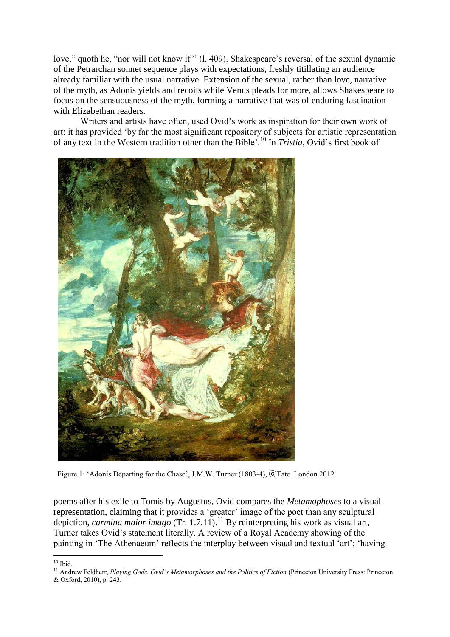love," quoth he, "nor will not know it"" (l. 409). Shakespeare's reversal of the sexual dynamic of the Petrarchan sonnet sequence plays with expectations, freshly titillating an audience already familiar with the usual narrative. Extension of the sexual, rather than love, narrative of the myth, as Adonis yields and recoils while Venus pleads for more, allows Shakespeare to focus on the sensuousness of the myth, forming a narrative that was of enduring fascination with Elizabethan readers.

Writers and artists have often, used Ovid's work as inspiration for their own work of art: it has provided 'by far the most significant repository of subjects for artistic representation of any text in the Western tradition other than the Bible'.<sup>10</sup> In *Tristia*, Ovid's first book of



Figure 1: 'Adonis Departing for the Chase', J.M.W. Turner (1803-4), ⓒTate. London 2012.

poems after his exile to Tomis by Augustus, Ovid compares the *Metamophoses* to a visual representation, claiming that it provides a 'greater' image of the poet than any sculptural depiction, *carmina maior imago* (Tr. 1.7.11).<sup>11</sup> By reinterpreting his work as visual art, Turner takes Ovid's statement literally. A review of a Royal Academy showing of the painting in 'The Athenaeum' reflects the interplay between visual and textual 'art'; 'having

 $10$  Ibid.

<sup>&</sup>lt;sup>11</sup> Andrew Feldherr, *Playing Gods. Ovid's Metamorphoses and the Politics of Fiction* (Princeton University Press: Princeton

<sup>&</sup>amp; Oxford, 2010), p. 243.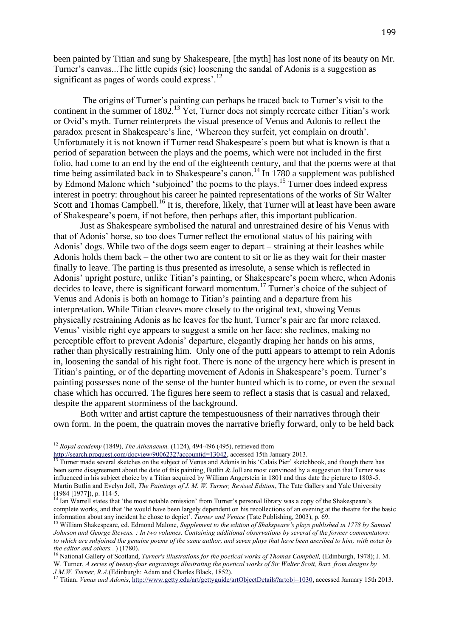been painted by Titian and sung by Shakespeare, [the myth] has lost none of its beauty on Mr. Turner's canvas...The little cupids (sic) loosening the sandal of Adonis is a suggestion as significant as pages of words could express'.<sup>12</sup>

The origins of Turner's painting can perhaps be traced back to Turner's visit to the continent in the summer of 1802.<sup>13</sup> Yet, Turner does not simply recreate either Titian's work or Ovid's myth. Turner reinterprets the visual presence of Venus and Adonis to reflect the paradox present in Shakespeare's line, 'Whereon they surfeit, yet complain on drouth'. Unfortunately it is not known if Turner read Shakespeare's poem but what is known is that a period of separation between the plays and the poems, which were not included in the first folio, had come to an end by the end of the eighteenth century, and that the poems were at that time being assimilated back in to Shakespeare's canon.<sup>14</sup> In 1780 a supplement was published by Edmond Malone which 'subjoined' the poems to the plays.<sup>15</sup> Turner does indeed express interest in poetry: throughout his career he painted representations of the works of Sir Walter Scott and Thomas Campbell.<sup>16</sup> It is, therefore, likely, that Turner will at least have been aware of Shakespeare's poem, if not before, then perhaps after, this important publication.

Just as Shakespeare symbolised the natural and unrestrained desire of his Venus with that of Adonis' horse, so too does Turner reflect the emotional status of his pairing with Adonis' dogs. While two of the dogs seem eager to depart – straining at their leashes while Adonis holds them back – the other two are content to sit or lie as they wait for their master finally to leave. The parting is thus presented as irresolute, a sense which is reflected in Adonis' upright posture, unlike Titian's painting, or Shakespeare's poem where, when Adonis decides to leave, there is significant forward momentum.<sup>17</sup> Turner's choice of the subject of Venus and Adonis is both an homage to Titian's painting and a departure from his interpretation. While Titian cleaves more closely to the original text, showing Venus physically restraining Adonis as he leaves for the hunt, Turner's pair are far more relaxed. Venus' visible right eye appears to suggest a smile on her face: she reclines, making no perceptible effort to prevent Adonis' departure, elegantly draping her hands on his arms, rather than physically restraining him. Only one of the putti appears to attempt to rein Adonis in, loosening the sandal of his right foot. There is none of the urgency here which is present in Titian's painting, or of the departing movement of Adonis in Shakespeare's poem. Turner's painting possesses none of the sense of the hunter hunted which is to come, or even the sexual chase which has occurred. The figures here seem to reflect a stasis that is casual and relaxed, despite the apparent storminess of the background.

Both writer and artist capture the tempestuousness of their narratives through their own form. In the poem, the quatrain moves the narrative briefly forward, only to be held back

<sup>12</sup> *Royal academy* (1849), *The Athenaeum,* (1124), 494-496 (495), retrieved from

[http://search.proquest.com/docview/9006232?accountid=13042,](http://search.proquest.com/docview/9006232?accountid=13042) accessed 15th January 2013.

<sup>&</sup>lt;sup>13</sup> Turner made several sketches on the subject of Venus and Adonis in his 'Calais Pier' sketchbook, and though there has been some disagreement about the date of this painting, Butlin & Joll are most convinced by a suggestion that Turner was influenced in his subject choice by a Titian acquired by William Angerstein in 1801 and thus date the picture to 1803-5. Martin Butlin and Evelyn Joll, *The Paintings of J. M. W. Turner, Revised Edition*, The Tate Gallery and Yale University (1984 [1977]), p. 114-5.

<sup>&</sup>lt;sup>14</sup> Ian Warrell states that 'the most notable omission' from Turner's personal library was a copy of the Shakespeare's complete works, and that 'he would have been largely dependent on his recollections of an evening at the theatre for the basic information about any incident he chose to depict'. *Turner and Venice* (Tate Publishing, 2003), p. 69.

<sup>15</sup> William Shakespeare, ed. Edmond Malone, *Supplement to the edition of Shakspeare's plays published in 1778 by Samuel Johnson and George Stevens. : In two volumes. Containing additional observations by several of the former commentators: to which are subjoined the genuine poems of the same author, and seven plays that have been ascribed to him; with notes by the editor and others.*. ) (1780).

<sup>16</sup> National Gallery of Scotland, *[Turner's illustrations for the poetical works of Thomas Campbell,](http://solo.bodleian.ox.ac.uk/primo_library/libweb/action/display.do?tabs=detailsTab&ct=display&fn=search&doc=oxfaleph016959033&indx=18&recIds=oxfaleph016959033&recIdxs=7&elementId=7&renderMode=poppedOut&displayMode=full&frbrVersion=&dscnt=0&frbg=&scp.scps=scope%3A%28NET%29%2Cscope%3A%28OX%29&tab=local&dstmp=1357845021095&srt=rank&vl(225595489UI1)=all_items&mode=Basic&dum=true&tb=t&vl(1UIStartWith0)=contains&vl(freeText0)=turner%27s+works&vid=OXVU1&vl(169119528UI0)=any)* (Edinburgh, 1978); J. M. W. Turner, *[A series of twenty-four engravings illustrating the poetical works of Sir Walter Scott, Bart. from designs by](http://solo.bodleian.ox.ac.uk/primo_library/libweb/action/display.do?tabs=detailsTab&ct=display&fn=search&doc=oxfaleph013384738&indx=28&recIds=oxfaleph013384738&recIdxs=7&elementId=7&renderMode=poppedOut&displayMode=full&frbrVersion=&dscnt=0&frbg=&scp.scps=scope%3A%28NET%29%2Cscope%3A%28OX%29&tab=local&dstmp=1357844917412&srt=rank&vl(225595489UI1)=all_items&mode=Basic&dum=true&tb=t&vl(1UIStartWith0)=contains&vl(freeText0)=turner%27s+works&vid=OXVU1&vl(169119528UI0)=any)  [J.M.W. Turner, R.A.](http://solo.bodleian.ox.ac.uk/primo_library/libweb/action/display.do?tabs=detailsTab&ct=display&fn=search&doc=oxfaleph013384738&indx=28&recIds=oxfaleph013384738&recIdxs=7&elementId=7&renderMode=poppedOut&displayMode=full&frbrVersion=&dscnt=0&frbg=&scp.scps=scope%3A%28NET%29%2Cscope%3A%28OX%29&tab=local&dstmp=1357844917412&srt=rank&vl(225595489UI1)=all_items&mode=Basic&dum=true&tb=t&vl(1UIStartWith0)=contains&vl(freeText0)=turner%27s+works&vid=OXVU1&vl(169119528UI0)=any)*(Edinburgh: Adam and Charles Black, 1852).

<sup>&</sup>lt;sup>17</sup> Titian, *Venus and Adonis*[, http://www.getty.edu/art/gettyguide/artObjectDetails?artobj=1030,](http://www.getty.edu/art/gettyguide/artObjectDetails?artobj=1030) accessed January 15th 2013.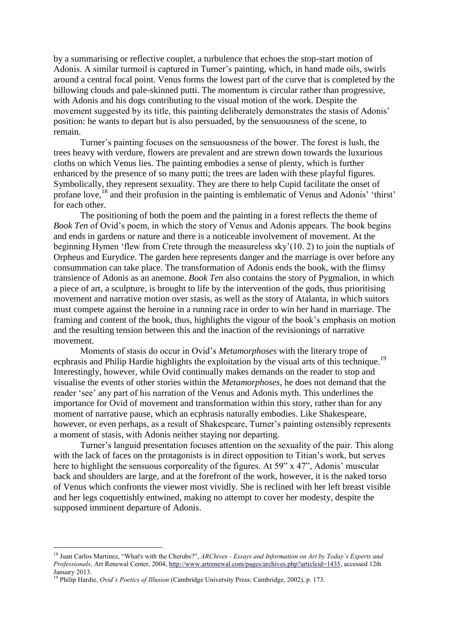by a summarising or reflective couplet, a turbulence that echoes the stop-start motion of Adonis. A similar turmoil is captured in Turner's painting, which, in hand made oils, swirls around a central focal point. Venus forms the lowest part of the curve that is completed by the billowing clouds and pale-skinned putti. The momentum is circular rather than progressive, with Adonis and his dogs contributing to the visual motion of the work. Despite the movement suggested by its title, this painting deliberately demonstrates the stasis of Adonis' position: he wants to depart but is also persuaded, by the sensuousness of the scene, to remain.

Turner's painting focuses on the sensuousness of the bower. The forest is lush, the trees heavy with verdure, flowers are prevalent and are strewn down towards the luxurious cloths on which Venus lies. The painting embodies a sense of plenty, which is further enhanced by the presence of so many putti; the trees are laden with these playful figures. Symbolically, they represent sexuality. They are there to help Cupid facilitate the onset of profane love,<sup>18</sup> and their profusion in the painting is emblematic of Venus and Adonis' 'thirst' for each other.

The positioning of both the poem and the painting in a forest reflects the theme of *Book Ten* of Ovid's poem, in which the story of Venus and Adonis appears. The book begins and ends in gardens or nature and there is a noticeable involvement of movement. At the beginning Hymen 'flew from Crete through the measureless sky'(10. 2) to join the nuptials of Orpheus and Eurydice. The garden here represents danger and the marriage is over before any consummation can take place. The transformation of Adonis ends the book, with the flimsy transience of Adonis as an anemone. *Book Ten* also contains the story of Pygmalion, in which a piece of art, a sculpture, is brought to life by the intervention of the gods, thus prioritising movement and narrative motion over stasis, as well as the story of Atalanta, in which suitors must compete against the heroine in a running race in order to win her hand in marriage. The framing and content of the book, thus, highlights the vigour of the book's emphasis on motion and the resulting tension between this and the inaction of the revisionings of narrative movement.

Moments of stasis do occur in Ovid's *Metamorphoses* with the literary trope of ecphrasis and Philip Hardie highlights the exploitation by the visual arts of this technique.<sup>19</sup> Interestingly, however, while Ovid continually makes demands on the reader to stop and visualise the events of other stories within the *Metamorphoses*, he does not demand that the reader 'see' any part of his narration of the Venus and Adonis myth. This underlines the importance for Ovid of movement and transformation within this story, rather than for any moment of narrative pause, which an ecphrasis naturally embodies. Like Shakespeare, however, or even perhaps, as a result of Shakespeare, Turner's painting ostensibly represents a moment of stasis, with Adonis neither staying nor departing.

Turner's languid presentation focuses attention on the sexuality of the pair. This along with the lack of faces on the protagonists is in direct opposition to Titian's work, but serves here to highlight the sensuous corporeality of the figures. At 59" x 47", Adonis' muscular back and shoulders are large, and at the forefront of the work, however, it is the naked torso of Venus which confronts the viewer most vividly. She is reclined with her left breast visible and her legs coquettishly entwined, making no attempt to cover her modesty, despite the supposed imminent departure of Adonis.

<sup>18</sup> Juan Carlos Martinez, ["What's with the Cherubs?"](http://www.artrenewal.com/pages/archives.php?articleid=1435), *ARChives - Essays and Information on Art by Today's Experts and Professionals*, Art Renewal Center, 2004[, http://www.artrenewal.com/pages/archives.php?articleid=1435,](http://www.artrenewal.com/pages/archives.php?articleid=1435) accessed 12th January 2013.

<sup>19</sup> Philip Hardie, *Ovid's Poetics of Illusion* (Cambridge University Press: Cambridge, 2002), p. 173.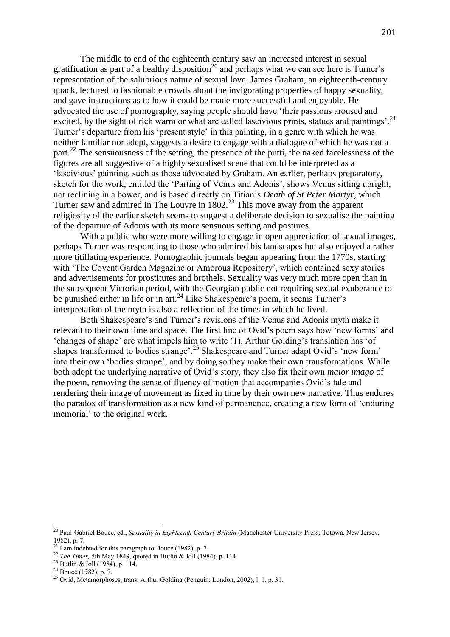The middle to end of the eighteenth century saw an increased interest in sexual gratification as part of a healthy disposition<sup>20</sup> and perhaps what we can see here is Turner's representation of the salubrious nature of sexual love. James Graham, an eighteenth-century quack, lectured to fashionable crowds about the invigorating properties of happy sexuality, and gave instructions as to how it could be made more successful and enjoyable. He advocated the use of pornography, saying people should have 'their passions aroused and excited, by the sight of rich warm or what are called lascivious prints, statues and paintings'.<sup>21</sup> Turner's departure from his 'present style' in this painting, in a genre with which he was neither familiar nor adept, suggests a desire to engage with a dialogue of which he was not a part.<sup>22</sup> The sensuousness of the setting, the presence of the putti, the naked facelessness of the figures are all suggestive of a highly sexualised scene that could be interpreted as a 'lascivious' painting, such as those advocated by Graham. An earlier, perhaps preparatory, sketch for the work, entitled the 'Parting of Venus and Adonis', shows Venus sitting upright, not reclining in a bower, and is based directly on Titian's *Death of St Peter Martyr*, which Turner saw and admired in The Louvre in  $1802<sup>23</sup>$  This move away from the apparent religiosity of the earlier sketch seems to suggest a deliberate decision to sexualise the painting of the departure of Adonis with its more sensuous setting and postures.

With a public who were more willing to engage in open appreciation of sexual images, perhaps Turner was responding to those who admired his landscapes but also enjoyed a rather more titillating experience. Pornographic journals began appearing from the 1770s, starting with 'The Covent Garden Magazine or Amorous Repository', which contained sexy stories and advertisements for prostitutes and brothels. Sexuality was very much more open than in the subsequent Victorian period, with the Georgian public not requiring sexual exuberance to be punished either in life or in art.<sup>24</sup> Like Shakespeare's poem, it seems Turner's interpretation of the myth is also a reflection of the times in which he lived.

Both Shakespeare's and Turner's revisions of the Venus and Adonis myth make it relevant to their own time and space. The first line of Ovid's poem says how 'new forms' and 'changes of shape' are what impels him to write (1). Arthur Golding's translation has 'of shapes transformed to bodies strange'.<sup>25</sup> Shakespeare and Turner adapt Ovid's 'new form' into their own 'bodies strange', and by doing so they make their own transformations. While both adopt the underlying narrative of Ovid's story, they also fix their own *maior imago* of the poem, removing the sense of fluency of motion that accompanies Ovid's tale and rendering their image of movement as fixed in time by their own new narrative. Thus endures the paradox of transformation as a new kind of permanence, creating a new form of 'enduring memorial' to the original work.

<sup>20</sup> Paul-Gabriel Boucé, ed., *Sexuality in Eighteenth Century Britain* (Manchester University Press: Totowa, New Jersey, 1982), p. 7.

 $21$  I am indebted for this paragraph to Boucé (1982), p. 7.

<sup>22</sup> *The Times,* 5th May 1849, quoted in Butlin & Joll (1984), p. 114.

<sup>23</sup> Butlin & Joll (1984), p. 114.

 $24$  Boucé (1982), p. 7.

<sup>&</sup>lt;sup>25</sup> Ovid, Metamorphoses, trans. Arthur Golding (Penguin: London, 2002), l. 1, p. 31.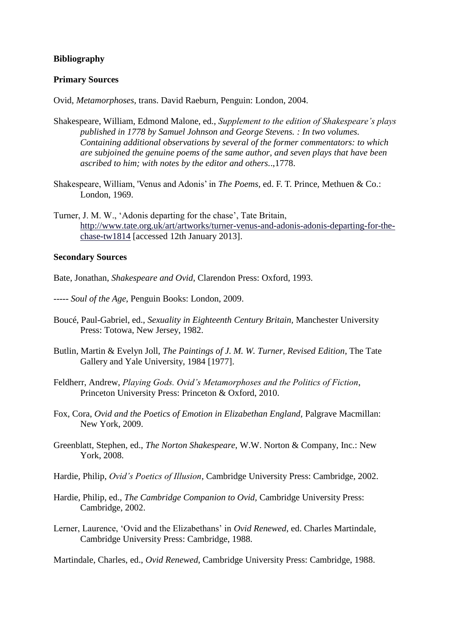## **Bibliography**

## **Primary Sources**

Ovid, *Metamorphoses*, trans. David Raeburn, Penguin: London, 2004.

- Shakespeare, William, Edmond Malone, ed., *Supplement to the edition of Shakespeare's plays published in 1778 by Samuel Johnson and George Stevens. : In two volumes. Containing additional observations by several of the former commentators: to which are subjoined the genuine poems of the same author, and seven plays that have been ascribed to him; with notes by the editor and others.*.,1778.
- Shakespeare, William, 'Venus and Adonis' in *The Poems,* ed. F. T. Prince, Methuen & Co.: London, 1969.
- Turner, J. M. W., 'Adonis departing for the chase', Tate Britain, [http://www.tate.org.uk/art/artworks/turner-venus-and-adonis-adonis-departing-for-the](http://www.tate.org.uk/art/artworks/turner-venus-and-adonis-adonis-departing-for-the-chase-tw1814)[chase-tw1814](http://www.tate.org.uk/art/artworks/turner-venus-and-adonis-adonis-departing-for-the-chase-tw1814) [accessed 12th January 2013].

## **Secondary Sources**

Bate, Jonathan, *Shakespeare and Ovid*, Clarendon Press: Oxford, 1993.

- ----- *Soul of the Age*, Penguin Books: London, 2009.
- Boucé, Paul-Gabriel, ed., *Sexuality in Eighteenth Century Britain,* Manchester University Press: Totowa, New Jersey, 1982.
- Butlin, Martin & Evelyn Joll, *The Paintings of J. M. W. Turner, Revised Edition*, The Tate Gallery and Yale University, 1984 [1977].
- Feldherr, Andrew, *Playing Gods. Ovid's Metamorphoses and the Politics of Fiction*, Princeton University Press: Princeton & Oxford, 2010.
- Fox, Cora, *Ovid and the Poetics of Emotion in Elizabethan England,* Palgrave Macmillan: New York, 2009.
- Greenblatt, Stephen, ed., *The Norton Shakespeare*, W.W. Norton & Company, Inc.: New York, 2008.
- Hardie, Philip, *Ovid's Poetics of Illusion*, Cambridge University Press: Cambridge, 2002.
- Hardie, Philip, ed., *The Cambridge Companion to Ovid,* Cambridge University Press: Cambridge, 2002.
- Lerner, Laurence, 'Ovid and the Elizabethans' in *Ovid Renewed*, ed. Charles Martindale, Cambridge University Press: Cambridge, 1988.

Martindale, Charles, ed., *Ovid Renewed*, Cambridge University Press: Cambridge, 1988.